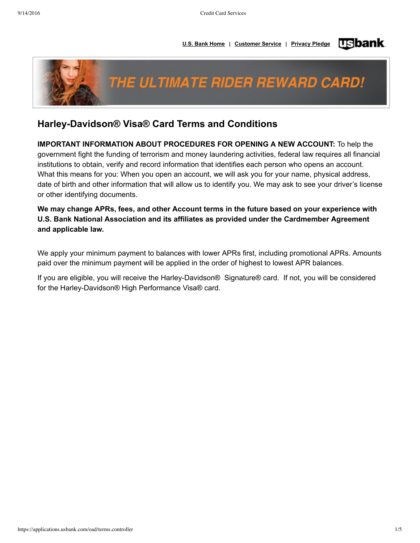



# **HarleyDavidson® Visa® Card Terms and Conditions**

**IMPORTANT INFORMATION ABOUT PROCEDURES FOR OPENING A NEW ACCOUNT:** To help the government fight the funding of terrorism and money laundering activities, federal law requires all financial institutions to obtain, verify and record information that identifies each person who opens an account. What this means for you: When you open an account, we will ask you for your name, physical address, date of birth and other information that will allow us to identify you. We may ask to see your driver's license or other identifying documents.

**We may change APRs, fees, and other Account terms in the future based on your experience with U.S. Bank National Association and its affiliates as provided under the Cardmember Agreement and applicable law.**

We apply your minimum payment to balances with lower APRs first, including promotional APRs. Amounts paid over the minimum payment will be applied in the order of highest to lowest APR balances.

If you are eligible, you will receive the Harley-Davidson® Signature® card. If not, you will be considered for the Harley-Davidson® High Performance Visa® card.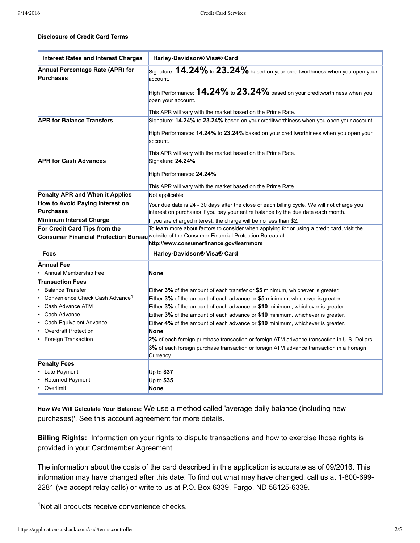### **Disclosure of Credit Card Terms**

| <b>Interest Rates and Interest Charges</b>           | Harley-Davidson® Visa® Card                                                                                                             |
|------------------------------------------------------|-----------------------------------------------------------------------------------------------------------------------------------------|
| Annual Percentage Rate (APR) for<br><b>Purchases</b> | Signature: ${\bf 14.24\%}$ to ${\bf 23.24\%}$ based on your creditworthiness when you open your<br>account.                             |
|                                                      | High Performance: $14.24\%$ to $23.24\%$ based on your creditworthiness when you<br>open your account.                                  |
|                                                      | This APR will vary with the market based on the Prime Rate.                                                                             |
| <b>APR for Balance Transfers</b>                     | Signature: 14.24% to 23.24% based on your creditworthiness when you open your account.                                                  |
|                                                      | High Performance: 14.24% to 23.24% based on your creditworthiness when you open your<br>account.                                        |
|                                                      | This APR will vary with the market based on the Prime Rate.                                                                             |
| <b>APR for Cash Advances</b>                         | Signature: 24.24%                                                                                                                       |
|                                                      | High Performance: 24.24%                                                                                                                |
|                                                      | This APR will vary with the market based on the Prime Rate.                                                                             |
| <b>Penalty APR and When it Applies</b>               | Not applicable                                                                                                                          |
| How to Avoid Paying Interest on                      | Your due date is 24 - 30 days after the close of each billing cycle. We will not charge you                                             |
| <b>Purchases</b>                                     | interest on purchases if you pay your entire balance by the due date each month.                                                        |
| Minimum Interest Charge                              | If you are charged interest, the charge will be no less than \$2.                                                                       |
| For Credit Card Tips from the                        | To learn more about factors to consider when applying for or using a credit card, visit the                                             |
|                                                      | Consumer Financial Protection Bureau Website of the Consumer Financial Protection Bureau at<br>http://www.consumerfinance.gov/learnmore |
| Fees                                                 | Harley-Davidson® Visa® Card                                                                                                             |
| <b>Annual Fee</b>                                    |                                                                                                                                         |
| Annual Membership Fee                                | <b>None</b>                                                                                                                             |
| <b>Transaction Fees</b>                              |                                                                                                                                         |
| <b>Balance Transfer</b>                              | Either 3% of the amount of each transfer or \$5 minimum, whichever is greater.                                                          |
| Convenience Check Cash Advance <sup>1</sup>          | Either $3\%$ of the amount of each advance or \$5 minimum, whichever is greater.                                                        |
| Cash Advance ATM                                     | Either 3% of the amount of each advance or \$10 minimum, whichever is greater.                                                          |
| Cash Advance                                         | Either 3% of the amount of each advance or \$10 minimum, whichever is greater.                                                          |
| Cash Equivalent Advance                              | Either 4% of the amount of each advance or \$10 minimum, whichever is greater.                                                          |
| <b>Overdraft Protection</b>                          | <b>None</b>                                                                                                                             |
| Foreign Transaction                                  | 2% of each foreign purchase transaction or foreign ATM advance transaction in U.S. Dollars                                              |
|                                                      | 3% of each foreign purchase transaction or foreign ATM advance transaction in a Foreign                                                 |
|                                                      | Currency                                                                                                                                |
| <b>Penalty Fees</b>                                  |                                                                                                                                         |
| Late Payment                                         | Up to $$37$                                                                                                                             |
| Returned Payment                                     | Up to $$35$                                                                                                                             |
| Overlimit                                            | <b>None</b>                                                                                                                             |

**How We Will Calculate Your Balance:** We use a method called 'average daily balance (including new purchases)'. See this account agreement for more details.

**Billing Rights:** Information on your rights to dispute transactions and how to exercise those rights is provided in your Cardmember Agreement.

The information about the costs of the card described in this application is accurate as of 09/2016. This information may have changed after this date. To find out what may have changed, call us at 1-800-699-2281 (we accept relay calls) or write to us at P.O. Box 6339, Fargo, ND 58125-6339.

<sup>1</sup>Not all products receive convenience checks.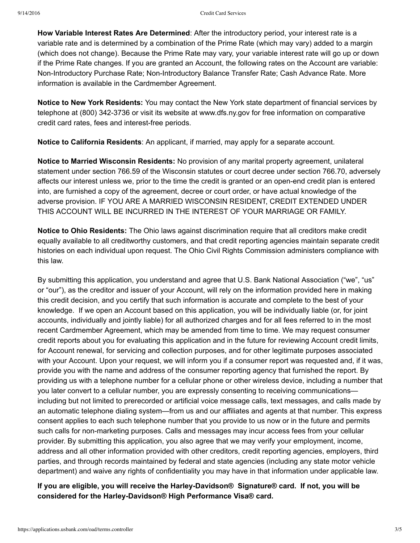**How Variable Interest Rates Are Determined**: After the introductory period, your interest rate is a variable rate and is determined by a combination of the Prime Rate (which may vary) added to a margin (which does not change). Because the Prime Rate may vary, your variable interest rate will go up or down if the Prime Rate changes. If you are granted an Account, the following rates on the Account are variable: Non-Introductory Purchase Rate; Non-Introductory Balance Transfer Rate; Cash Advance Rate. More information is available in the Cardmember Agreement.

**Notice to New York Residents:** You may contact the New York state department of financial services by telephone at (800) 342-3736 or visit its website at www.dfs.ny.gov for free information on comparative credit card rates, fees and interest-free periods.

**Notice to California Residents**: An applicant, if married, may apply for a separate account.

**Notice to Married Wisconsin Residents:** No provision of any marital property agreement, unilateral statement under section 766.59 of the Wisconsin statutes or court decree under section 766.70, adversely affects our interest unless we, prior to the time the credit is granted or an open-end credit plan is entered into, are furnished a copy of the agreement, decree or court order, or have actual knowledge of the adverse provision. IF YOU ARE A MARRIED WISCONSIN RESIDENT, CREDIT EXTENDED UNDER THIS ACCOUNT WILL BE INCURRED IN THE INTEREST OF YOUR MARRIAGE OR FAMILY.

**Notice to Ohio Residents:** The Ohio laws against discrimination require that all creditors make credit equally available to all creditworthy customers, and that credit reporting agencies maintain separate credit histories on each individual upon request. The Ohio Civil Rights Commission administers compliance with this law.

By submitting this application, you understand and agree that U.S. Bank National Association ("we", "us" or "our"), as the creditor and issuer of your Account, will rely on the information provided here in making this credit decision, and you certify that such information is accurate and complete to the best of your knowledge. If we open an Account based on this application, you will be individually liable (or, for joint accounts, individually and jointly liable) for all authorized charges and for all fees referred to in the most recent Cardmember Agreement, which may be amended from time to time. We may request consumer credit reports about you for evaluating this application and in the future for reviewing Account credit limits, for Account renewal, for servicing and collection purposes, and for other legitimate purposes associated with your Account. Upon your request, we will inform you if a consumer report was requested and, if it was, provide you with the name and address of the consumer reporting agency that furnished the report. By providing us with a telephone number for a cellular phone or other wireless device, including a number that you later convert to a cellular number, you are expressly consenting to receiving communications including but not limited to prerecorded or artificial voice message calls, text messages, and calls made by an automatic telephone dialing system—from us and our affiliates and agents at that number. This express consent applies to each such telephone number that you provide to us now or in the future and permits such calls for non-marketing purposes. Calls and messages may incur access fees from your cellular provider. By submitting this application, you also agree that we may verify your employment, income, address and all other information provided with other creditors, credit reporting agencies, employers, third parties, and through records maintained by federal and state agencies (including any state motor vehicle department) and waive any rights of confidentiality you may have in that information under applicable law.

## **If** you are eligible, you will receive the Harley-Davidson® Signature® card. If not, you will be **considered for the HarleyDavidson® High Performance Visa® card.**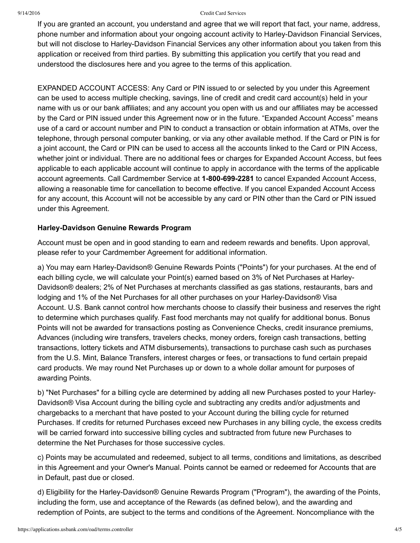#### 9/14/2016 Credit Card Services

If you are granted an account, you understand and agree that we will report that fact, your name, address, phone number and information about your ongoing account activity to Harley-Davidson Financial Services, but will not disclose to Harley-Davidson Financial Services any other information about you taken from this application or received from third parties. By submitting this application you certify that you read and understood the disclosures here and you agree to the terms of this application.

EXPANDED ACCOUNT ACCESS: Any Card or PIN issued to or selected by you under this Agreement can be used to access multiple checking, savings, line of credit and credit card account(s) held in your name with us or our bank affiliates; and any account you open with us and our affiliates may be accessed by the Card or PIN issued under this Agreement now or in the future. "Expanded Account Access" means use of a card or account number and PIN to conduct a transaction or obtain information at ATMs, over the telephone, through personal computer banking, or via any other available method. If the Card or PIN is for a joint account, the Card or PIN can be used to access all the accounts linked to the Card or PIN Access, whether joint or individual. There are no additional fees or charges for Expanded Account Access, but fees applicable to each applicable account will continue to apply in accordance with the terms of the applicable account agreements. Call Cardmember Service at **18006992281** to cancel Expanded Account Access, allowing a reasonable time for cancellation to become effective. If you cancel Expanded Account Access for any account, this Account will not be accessible by any card or PIN other than the Card or PIN issued under this Agreement.

### **Harley-Davidson Genuine Rewards Program**

Account must be open and in good standing to earn and redeem rewards and benefits. Upon approval, please refer to your Cardmember Agreement for additional information.

a) You may earn Harley-Davidson® Genuine Rewards Points ("Points") for your purchases. At the end of each billing cycle, we will calculate your Point(s) earned based on 3% of Net Purchases at Harley-Davidson® dealers; 2% of Net Purchases at merchants classified as gas stations, restaurants, bars and lodging and 1% of the Net Purchases for all other purchases on your Harley-Davidson® Visa Account. U.S. Bank cannot control how merchants choose to classify their business and reserves the right to determine which purchases qualify. Fast food merchants may not qualify for additional bonus. Bonus Points will not be awarded for transactions posting as Convenience Checks, credit insurance premiums, Advances (including wire transfers, travelers checks, money orders, foreign cash transactions, betting transactions, lottery tickets and ATM disbursements), transactions to purchase cash such as purchases from the U.S. Mint, Balance Transfers, interest charges or fees, or transactions to fund certain prepaid card products. We may round Net Purchases up or down to a whole dollar amount for purposes of awarding Points.

b) "Net Purchases" for a billing cycle are determined by adding all new Purchases posted to your Harley-Davidson® Visa Account during the billing cycle and subtracting any credits and/or adjustments and chargebacks to a merchant that have posted to your Account during the billing cycle for returned Purchases. If credits for returned Purchases exceed new Purchases in any billing cycle, the excess credits will be carried forward into successive billing cycles and subtracted from future new Purchases to determine the Net Purchases for those successive cycles.

c) Points may be accumulated and redeemed, subject to all terms, conditions and limitations, as described in this Agreement and your Owner's Manual. Points cannot be earned or redeemed for Accounts that are in Default, past due or closed.

d) Eligibility for the Harley-Davidson® Genuine Rewards Program ("Program"), the awarding of the Points, including the form, use and acceptance of the Rewards (as defined below), and the awarding and redemption of Points, are subject to the terms and conditions of the Agreement. Noncompliance with the